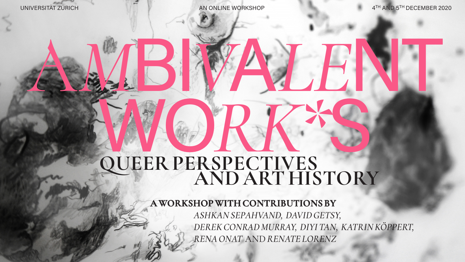## UNIVERSITÄT ZÜRICH AN ONLINE WORKSHOP

# **QUEER PERSPECTIVES AND ART HISTORY** WORK\*S

**A WORKSHOP WITH CONTRIBUTIONS BY**   *ASHKAN SEPAHVAND, DAVID GETSY, DEREK DEREKCONRAD MURRAY, MURRAY, DIYI TAN, KATRINKÖPPERT, KÖPPERT, RENA ONAT* AND *RENATE LORENZ*

4TH AND 5TH DECEMBER 2020

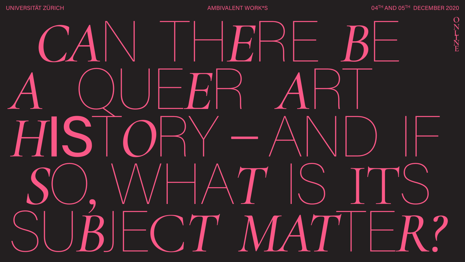# UNIVERSITÄT ZÜRICH AMBIVALENT WORK\*S



04TH AND 05TH DECEMBER 2020



### **O N L I N E**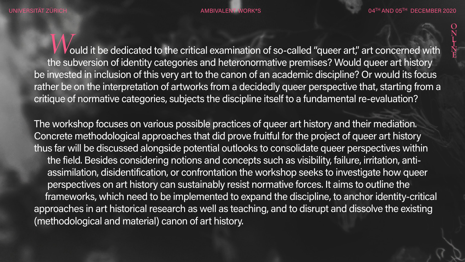*W*ould it be dedicated to the critical examination of so-called "queer art," art concerned with the subversion of identity categories and heteronormative premises? Would queer art history be invested in inclusion of this very art to the canon of an academic discipline? Or would its focus rather be on the interpretation of artworks from a decidedly queer perspective that, starting from a critique of normative categories, subjects the discipline itself to a fundamental re-evaluation?

The workshop focuses on various possible practices of queer art history and their mediation. Concrete methodological approaches that did prove fruitful for the project of queer art history thus far will be discussed alongside potential outlooks to consolidate queer perspectives within the field. Besides considering notions and concepts such as visibility, failure, irritation, antiassimilation, disidentification, or confrontation the workshop seeks to investigate how queer perspectives on art history can sustainably resist normative forces. It aims to outline the frameworks, which need to be implemented to expand the discipline, to anchor identity-critical approaches in art historical research as well as teaching, and to disrupt and dissolve the existing (methodological and material) canon of art history.